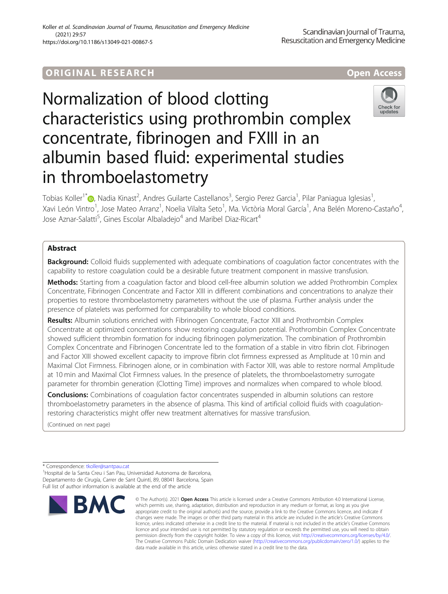## **ORIGINAL RESEARCH And Access** open Access

# Normalization of blood clotting characteristics using prothrombin complex concentrate, fibrinogen and FXIII in an albumin based fluid: experimental studies in thromboelastometry



Tobias Koller<sup>1[\\*](http://orcid.org/0000-0002-6247-0193)</sup>�, Nadia Kinast<sup>2</sup>, Andres Guilarte Castellanos<sup>3</sup>, Sergio Perez Garcia<sup>1</sup>, Pilar Paniagua Iglesias<sup>1</sup> , Xavi León Vintro<sup>1</sup>, Jose Mateo Arranz<sup>1</sup>, Noelia Vilalta Seto<sup>1</sup>, Ma. Victòria Moral García<sup>1</sup>, Ana Belén Moreno-Castaño<sup>4</sup> , Jose Aznar-Salatti<sup>5</sup>, Gines Escolar Albaladejo<sup>4</sup> and Maribel Diaz-Ricart<sup>4</sup>

## Abstract

Background: Colloid fluids supplemented with adequate combinations of coagulation factor concentrates with the capability to restore coagulation could be a desirable future treatment component in massive transfusion.

Methods: Starting from a coagulation factor and blood cell-free albumin solution we added Prothrombin Complex Concentrate, Fibrinogen Concentrate and Factor XIII in different combinations and concentrations to analyze their properties to restore thromboelastometry parameters without the use of plasma. Further analysis under the presence of platelets was performed for comparability to whole blood conditions.

Results: Albumin solutions enriched with Fibrinogen Concentrate, Factor XIII and Prothrombin Complex Concentrate at optimized concentrations show restoring coagulation potential. Prothrombin Complex Concentrate showed sufficient thrombin formation for inducing fibrinogen polymerization. The combination of Prothrombin Complex Concentrate and Fibrinogen Concentrate led to the formation of a stable in vitro fibrin clot. Fibrinogen and Factor XIII showed excellent capacity to improve fibrin clot firmness expressed as Amplitude at 10 min and Maximal Clot Firmness. Fibrinogen alone, or in combination with Factor XIII, was able to restore normal Amplitude at 10 min and Maximal Clot Firmness values. In the presence of platelets, the thromboelastometry surrogate parameter for thrombin generation (Clotting Time) improves and normalizes when compared to whole blood.

**Conclusions:** Combinations of coagulation factor concentrates suspended in albumin solutions can restore thromboelastometry parameters in the absence of plasma. This kind of artificial colloid fluids with coagulationrestoring characteristics might offer new treatment alternatives for massive transfusion.

(Continued on next page)

\* Correspondence: [tkoller@santpau.cat](mailto:tkoller@santpau.cat) <sup>1</sup>

<sup>1</sup> Hospital de la Santa Creu i San Pau, Universidad Autonoma de Barcelona, Departamento de Cirugía, Carrer de Sant Quintí, 89, 08041 Barcelona, Spain Full list of author information is available at the end of the article



<sup>©</sup> The Author(s), 2021 **Open Access** This article is licensed under a Creative Commons Attribution 4.0 International License, which permits use, sharing, adaptation, distribution and reproduction in any medium or format, as long as you give appropriate credit to the original author(s) and the source, provide a link to the Creative Commons licence, and indicate if changes were made. The images or other third party material in this article are included in the article's Creative Commons licence, unless indicated otherwise in a credit line to the material. If material is not included in the article's Creative Commons licence and your intended use is not permitted by statutory regulation or exceeds the permitted use, you will need to obtain permission directly from the copyright holder. To view a copy of this licence, visit [http://creativecommons.org/licenses/by/4.0/.](http://creativecommons.org/licenses/by/4.0/) The Creative Commons Public Domain Dedication waiver [\(http://creativecommons.org/publicdomain/zero/1.0/](http://creativecommons.org/publicdomain/zero/1.0/)) applies to the data made available in this article, unless otherwise stated in a credit line to the data.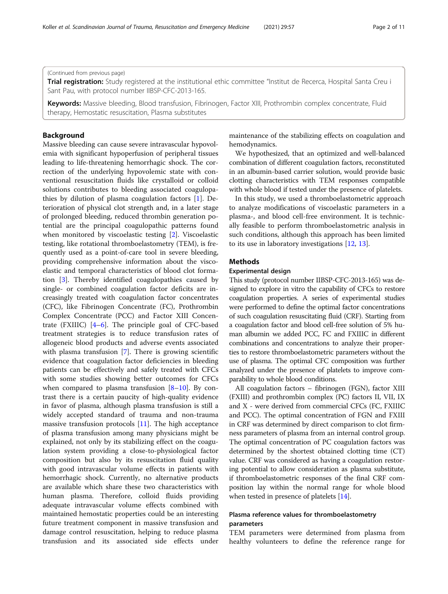(Continued from previous page)

Trial registration: Study registered at the institutional ethic committee "Institut de Recerca, Hospital Santa Creu i Sant Pau, with protocol number IIBSP-CFC-2013-165.

Keywords: Massive bleeding, Blood transfusion, Fibrinogen, Factor XIII, Prothrombin complex concentrate, Fluid therapy, Hemostatic resuscitation, Plasma substitutes

## Background

Massive bleeding can cause severe intravascular hypovolemia with significant hypoperfusion of peripheral tissues leading to life-threatening hemorrhagic shock. The correction of the underlying hypovolemic state with conventional resuscitation fluids like crystalloid or colloid solutions contributes to bleeding associated coagulopathies by dilution of plasma coagulation factors [[1\]](#page-9-0). Deterioration of physical clot strength and, in a later stage of prolonged bleeding, reduced thrombin generation potential are the principal coagulopathic patterns found when monitored by viscoelastic testing [\[2](#page-9-0)]. Viscoelastic testing, like rotational thromboelastometry (TEM), is frequently used as a point-of-care tool in severe bleeding, providing comprehensive information about the viscoelastic and temporal characteristics of blood clot formation [[3\]](#page-9-0). Thereby identified coagulopathies caused by single- or combined coagulation factor deficits are increasingly treated with coagulation factor concentrates (CFC), like Fibrinogen Concentrate (FC), Prothrombin Complex Concentrate (PCC) and Factor XIII Concentrate (FXIIIC) [\[4](#page-9-0)–[6\]](#page-9-0). The principle goal of CFC-based treatment strategies is to reduce transfusion rates of allogeneic blood products and adverse events associated with plasma transfusion [\[7](#page-9-0)]. There is growing scientific evidence that coagulation factor deficiencies in bleeding patients can be effectively and safely treated with CFCs with some studies showing better outcomes for CFCs when compared to plasma transfusion  $[8-10]$  $[8-10]$  $[8-10]$  $[8-10]$ . By contrast there is a certain paucity of high-quality evidence in favor of plasma, although plasma transfusion is still a widely accepted standard of trauma and non-trauma massive transfusion protocols [[11\]](#page-9-0). The high acceptance of plasma transfusion among many physicians might be explained, not only by its stabilizing effect on the coagulation system providing a close-to-physiological factor composition but also by its resuscitation fluid quality with good intravascular volume effects in patients with hemorrhagic shock. Currently, no alternative products are available which share these two characteristics with human plasma. Therefore, colloid fluids providing adequate intravascular volume effects combined with maintained hemostatic properties could be an interesting future treatment component in massive transfusion and damage control resuscitation, helping to reduce plasma transfusion and its associated side effects under maintenance of the stabilizing effects on coagulation and hemodynamics.

We hypothesized, that an optimized and well-balanced combination of different coagulation factors, reconstituted in an albumin-based carrier solution, would provide basic clotting characteristics with TEM responses compatible with whole blood if tested under the presence of platelets.

In this study, we used a thromboelastometric approach to analyze modifications of viscoelastic parameters in a plasma-, and blood cell-free environment. It is technically feasible to perform thromboelastometric analysis in such conditions, although this approach has been limited to its use in laboratory investigations [[12,](#page-9-0) [13\]](#page-9-0).

## Methods

## Experimental design

This study (protocol number IIBSP-CFC-2013-165) was designed to explore in vitro the capability of CFCs to restore coagulation properties. A series of experimental studies were performed to define the optimal factor concentrations of such coagulation resuscitating fluid (CRF). Starting from a coagulation factor and blood cell-free solution of 5% human albumin we added PCC, FC and FXIIIC in different combinations and concentrations to analyze their properties to restore thromboelastometric parameters without the use of plasma. The optimal CFC composition was further analyzed under the presence of platelets to improve comparability to whole blood conditions.

All coagulation factors – fibrinogen (FGN), factor XIII (FXIII) and prothrombin complex (PC) factors II, VII, IX and X - were derived from commercial CFCs (FC, FXIIIC and PCC). The optimal concentration of FGN and FXIII in CRF was determined by direct comparison to clot firmness parameters of plasma from an internal control group. The optimal concentration of PC coagulation factors was determined by the shortest obtained clotting time (CT) value. CRF was considered as having a coagulation restoring potential to allow consideration as plasma substitute, if thromboelastometric responses of the final CRF composition lay within the normal range for whole blood when tested in presence of platelets [\[14\]](#page-9-0).

## Plasma reference values for thromboelastometry parameters

TEM parameters were determined from plasma from healthy volunteers to define the reference range for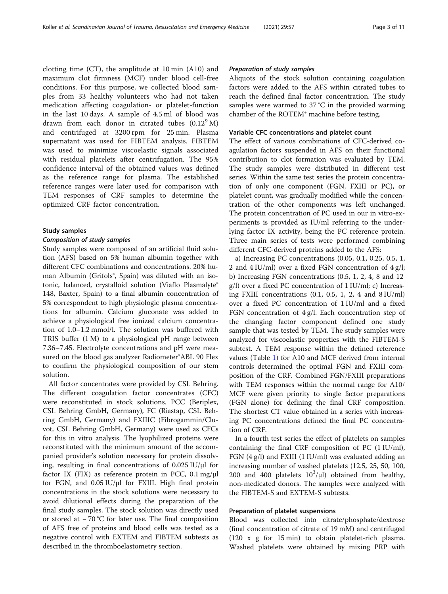clotting time (CT), the amplitude at 10 min (A10) and maximum clot firmness (MCF) under blood cell-free conditions. For this purpose, we collected blood samples from 33 healthy volunteers who had not taken medication affecting coagulation- or platelet-function in the last 10 days. A sample of 4.5 ml of blood was drawn from each donor in citrated tubes  $(0.12<sup>9</sup> M)$ and centrifuged at 3200 rpm for 25 min. Plasma supernatant was used for FIBTEM analysis. FIBTEM was used to minimize viscoelastic signals associated with residual platelets after centrifugation. The 95% confidence interval of the obtained values was defined as the reference range for plasma. The established reference ranges were later used for comparison with TEM responses of CRF samples to determine the optimized CRF factor concentration.

## Study samples

#### Composition of study samples

Study samples were composed of an artificial fluid solution (AFS) based on 5% human albumin together with different CFC combinations and concentrations. 20% human Albumin (Grifols®, Spain) was diluted with an isotonic, balanced, crystalloid solution (Viaflo Plasmalyte® 148, Baxter, Spain) to a final albumin concentration of 5% correspondent to high physiologic plasma concentrations for albumin. Calcium gluconate was added to achieve a physiological free ionized calcium concentration of 1.0–1.2 mmol/l. The solution was buffered with TRIS buffer (1 M) to a physiological pH range between 7.36–7.45. Electrolyte concentrations and pH were measured on the blood gas analyzer Radiometer®ABL 90 Flex to confirm the physiological composition of our stem solution.

All factor concentrates were provided by CSL Behring. The different coagulation factor concentrates (CFC) were reconstituted in stock solutions. PCC (Beriplex, CSL Behring GmbH, Germany), FC (Riastap, CSL Behring GmbH, Germany) and FXIIIC (Fibrogammin/Cluvot, CSL Behring GmbH, Germany) were used as CFCs for this in vitro analysis. The lyophilized proteins were reconstituted with the minimum amount of the accompanied provider's solution necessary for protein dissolving, resulting in final concentrations of 0.025 IU/μl for factor IX (FIX) as reference protein in PCC, 0.1 mg/μl for FGN, and 0.05 IU/μl for FXIII. High final protein concentrations in the stock solutions were necessary to avoid dilutional effects during the preparation of the final study samples. The stock solution was directly used or stored at − 70 °C for later use. The final composition of AFS free of proteins and blood cells was tested as a negative control with EXTEM and FIBTEM subtests as described in the thromboelastometry section.

## Preparation of study samples

Aliquots of the stock solution containing coagulation factors were added to the AFS within citrated tubes to reach the defined final factor concentration. The study samples were warmed to 37 °C in the provided warming chamber of the ROTEM® machine before testing.

## Variable CFC concentrations and platelet count

The effect of various combinations of CFC-derived coagulation factors suspended in AFS on their functional contribution to clot formation was evaluated by TEM. The study samples were distributed in different test series. Within the same test series the protein concentration of only one component (FGN, FXIII or PC), or platelet count, was gradually modified while the concentration of the other components was left unchanged. The protein concentration of PC used in our in vitro-experiments is provided as IU/ml referring to the underlying factor IX activity, being the PC reference protein. Three main series of tests were performed combining different CFC-derived proteins added to the AFS:

a) Increasing PC concentrations (0.05, 0.1, 0.25, 0.5, 1, 2 and  $4$  IU/ml) over a fixed FGN concentration of  $4$  g/l; b) Increasing FGN concentrations (0.5, 1, 2, 4, 8 and 12 g/l) over a fixed PC concentration of 1 IU/ml; c) Increasing FXIII concentrations  $(0.1, 0.5, 1, 2, 4$  and  $8$  IU/ml) over a fixed PC concentration of 1 IU/ml and a fixed FGN concentration of 4 g/l. Each concentration step of the changing factor component defined one study sample that was tested by TEM. The study samples were analyzed for viscoelastic properties with the FIBTEM-S subtest. A TEM response within the defined reference values (Table [1](#page-3-0)) for A10 and MCF derived from internal controls determined the optimal FGN and FXIII composition of the CRF. Combined FGN/FXIII preparations with TEM responses within the normal range for A10/ MCF were given priority to single factor preparations (FGN alone) for defining the final CRF composition. The shortest CT value obtained in a series with increasing PC concentrations defined the final PC concentration of CRF.

In a fourth test series the effect of platelets on samples containing the final CRF composition of PC (1 IU/ml), FGN (4 g/l) and FXIII (1 IU/ml) was evaluated adding an increasing number of washed platelets (12.5, 25, 50, 100, 200 and 400 platelets  $10^3$ /μl) obtained from healthy, non-medicated donors. The samples were analyzed with the FIBTEM-S and EXTEM-S subtests.

## Preparation of platelet suspensions

Blood was collected into citrate/phosphate/dextrose (final concentration of citrate of 19 mM) and centrifuged (120 x g for 15 min) to obtain platelet-rich plasma. Washed platelets were obtained by mixing PRP with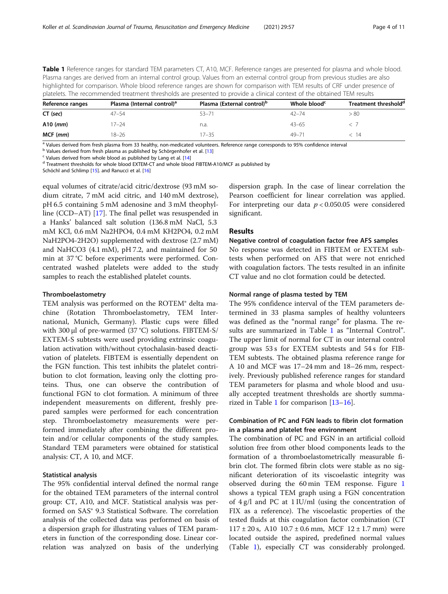<span id="page-3-0"></span>Table 1 Reference ranges for standard TEM parameters CT, A10, MCF. Reference ranges are presented for plasma and whole blood. Plasma ranges are derived from an internal control group. Values from an external control group from previous studies are also highlighted for comparison. Whole blood reference ranges are shown for comparison with TEM results of CRF under presence of platelets. The recommended treatment thresholds are presented to provide a clinical context of the obtained TEM results

| Reference ranges | Plasma (Internal control) <sup>a</sup> | Plasma (External control) <sup>p</sup> | Whole blood <sup>c</sup> | Treatment threshold <sup>d</sup> |  |  |
|------------------|----------------------------------------|----------------------------------------|--------------------------|----------------------------------|--|--|
| CT (sec)         | $47 - 54$                              | $53 - 71$                              | $42 - 74$                | > 80                             |  |  |
| $A10$ (mm)       | $17 - 24$                              | n.a.                                   | $43 - 65$                |                                  |  |  |
| $MCF$ ( $mm$ )   | $18 - 26$                              | $17 - 35$                              | $49 - 71$                | - 14                             |  |  |

<sup>a</sup> Values derived from fresh plasma from 33 healthy, non-medicated volunteers. Reference range corresponds to 95% confidence interval<br><sup>b</sup> Values derived from fresh plasma as published by Schörgenhofer et al. [13]

 $\text{c}$  Values derived from whole blood as published by Lang et al. [\[14](#page-9-0)]<br> $\text{d}$  Treatment thresholds for whole blood EXTEM-CT and whole blood FIBTEM-A10/MCF as published by

Schöchl and Schlimp [\[15\]](#page-9-0). and Ranucci et al. [\[16\]](#page-9-0)

equal volumes of citrate/acid citric/dextrose (93 mM sodium citrate, 7 mM acid citric, and 140 mM dextrose), pH 6.5 containing 5 mM adenosine and 3 mM theophylline (CCD–AT) [\[17\]](#page-9-0). The final pellet was resuspended in a Hanks' balanced salt solution (136.8 mM NaCl, 5.3 mM KCl, 0.6 mM Na2HPO4, 0.4 mM KH2PO4, 0.2 mM NaH2PO4-2H2O) supplemented with dextrose (2.7 mM) and NaHCO3 (4.1 mM), pH 7.2, and maintained for 50 min at 37 °C before experiments were performed. Concentrated washed platelets were added to the study samples to reach the established platelet counts.

## Thromboelastometry

TEM analysis was performed on the ROTEM® delta machine (Rotation Thromboelastometry, TEM International, Munich, Germany). Plastic cups were filled with 300 μl of pre-warmed (37 °C) solutions. FIBTEM-S/ EXTEM-S subtests were used providing extrinsic coagulation activation with/without cytochalasin-based deactivation of platelets. FIBTEM is essentially dependent on the FGN function. This test inhibits the platelet contribution to clot formation, leaving only the clotting proteins. Thus, one can observe the contribution of functional FGN to clot formation. A minimum of three independent measurements on different, freshly prepared samples were performed for each concentration step. Thromboelastometry measurements were performed immediately after combining the different protein and/or cellular components of the study samples. Standard TEM parameters were obtained for statistical analysis: CT, A 10, and MCF.

## Statistical analysis

The 95% confidential interval defined the normal range for the obtained TEM parameters of the internal control group: CT, A10, and MCF. Statistical analysis was performed on SAS® 9.3 Statistical Software. The correlation analysis of the collected data was performed on basis of a dispersion graph for illustrating values of TEM parameters in function of the corresponding dose. Linear correlation was analyzed on basis of the underlying dispersion graph. In the case of linear correlation the Pearson coefficient for linear correlation was applied. For interpreting our data  $p < 0.050.05$  were considered significant.

## Results

## Negative control of coagulation factor free AFS samples

No response was detected in FIBTEM or EXTEM subtests when performed on AFS that were not enriched with coagulation factors. The tests resulted in an infinite CT value and no clot formation could be detected.

## Normal range of plasma tested by TEM

The 95% confidence interval of the TEM parameters determined in 33 plasma samples of healthy volunteers was defined as the "normal range" for plasma. The results are summarized in Table 1 as "Internal Control". The upper limit of normal for CT in our internal control group was 53 s for EXTEM subtests and 54 s for FIB-TEM subtests. The obtained plasma reference range for A 10 and MCF was 17–24 mm and 18–26 mm, respectively. Previously published reference ranges for standard TEM parameters for plasma and whole blood and usually accepted treatment thresholds are shortly summarized in Table 1 for comparison [\[13](#page-9-0)–[16\]](#page-9-0).

## Combination of PC and FGN leads to fibrin clot formation in a plasma and platelet free environment

The combination of PC and FGN in an artificial colloid solution free from other blood components leads to the formation of a thromboelastometrically measurable fibrin clot. The formed fibrin clots were stable as no significant deterioration of its viscoelastic integrity was observed during the 60 min TEM response. Figure [1](#page-4-0) shows a typical TEM graph using a FGN concentration of 4 g/l and PC at 1 IU/ml (using the concentration of FIX as a reference). The viscoelastic properties of the tested fluids at this coagulation factor combination (CT  $117 \pm 20$  s, A10  $10.7 \pm 0.6$  mm, MCF  $12 \pm 1.7$  mm) were located outside the aspired, predefined normal values (Table 1), especially CT was considerably prolonged.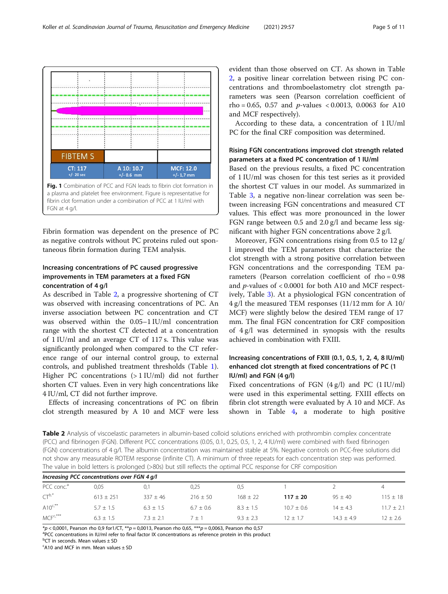<span id="page-4-0"></span>

a plasma and platelet free environment. Figure is representative for fibrin clot formation under a combination of PCC at 1 IU/ml with FGN at 4 g/l.

Fibrin formation was dependent on the presence of PC as negative controls without PC proteins ruled out spontaneous fibrin formation during TEM analysis.

## Increasing concentrations of PC caused progressive improvements in TEM parameters at a fixed FGN concentration of 4 g/l

As described in Table 2, a progressive shortening of CT was observed with increasing concentrations of PC. An inverse association between PC concentration and CT was observed within the 0.05–1 IU/ml concentration range with the shortest CT detected at a concentration of 1 IU/ml and an average CT of 117 s. This value was significantly prolonged when compared to the CT reference range of our internal control group, to external controls, and published treatment thresholds (Table [1](#page-3-0)). Higher PC concentrations (> 1 IU/ml) did not further shorten CT values. Even in very high concentrations like 4 IU/ml, CT did not further improve.

Effects of increasing concentrations of PC on fibrin clot strength measured by A 10 and MCF were less evident than those observed on CT. As shown in Table 2, a positive linear correlation between rising PC concentrations and thromboelastometry clot strength parameters was seen (Pearson correlation coefficient of rho = 0.65, 0.57 and *p*-values < 0.0013, 0.0063 for A10 and MCF respectively).

According to these data, a concentration of 1 IU/ml PC for the final CRF composition was determined.

## Rising FGN concentrations improved clot strength related parameters at a fixed PC concentration of 1 IU/ml

Based on the previous results, a fixed PC concentration of 1 IU/ml was chosen for this test series as it provided the shortest CT values in our model. As summarized in Table [3,](#page-5-0) a negative non-linear correlation was seen between increasing FGN concentrations and measured CT values. This effect was more pronounced in the lower FGN range between 0.5 and 2.0 g/l and became less significant with higher FGN concentrations above 2 g/l.

Moreover, FGN concentrations rising from 0.5 to 12 g/ l improved the TEM parameters that characterize the clot strength with a strong positive correlation between FGN concentrations and the corresponding TEM parameters (Pearson correlation coefficient of rho = 0.98 and p-values of < 0.0001 for both A10 and MCF respectively, Table [3](#page-5-0)). At a physiological FGN concentration of 4 g/l the measured TEM responses (11/12 mm for A 10/ MCF) were slightly below the desired TEM range of 17 mm. The final FGN concentration for CRF composition of 4 g/l was determined in synopsis with the results achieved in combination with FXIII.

## Increasing concentrations of FXIII (0.1, 0.5, 1, 2, 4, 8 IU/ml) enhanced clot strength at fixed concentrations of PC (1 IU/ml) and FGN (4 g/l)

Fixed concentrations of FGN (4 g/l) and PC (1 IU/ml) were used in this experimental setting. FXIII effects on fibrin clot strength were evaluated by A 10 and MCF. As shown in Table  $4$ , a moderate to high positive

Table 2 Analysis of viscoelastic parameters in albumin-based colloid solutions enriched with prothrombin complex concentrate (PCC) and fibrinogen (FGN). Different PCC concentrations (0.05, 0.1, 0.25, 0.5, 1, 2, 4 IU/ml) were combined with fixed fibrinogen (FGN) concentrations of 4 g/l. The albumin concentration was maintained stable at 5%. Negative controls on PCC-free solutions did not show any measurable ROTEM response (infinite CT). A minimum of three repeats for each concentration step was performed. The value in bold letters is prolonged (>80s) but still reflects the optimal PCC response for CRF composition

| Increasing PCC concentrations over FGN 4 g/l |             |             |               |               |                |              |                |
|----------------------------------------------|-------------|-------------|---------------|---------------|----------------|--------------|----------------|
| PCC conc. <sup>a</sup>                       | 0.05        | 0.1         | 0.25          | 0.5           |                |              | 4              |
| $CT^{b,*}$                                   | $613 + 251$ | $337 + 46$  | $216 + 50$    | $168 + 22$    | $117 \pm 20$   | $95 + 40$    | $115 \pm 18$   |
| $A10^{c,*}$                                  | $5.7 + 1.5$ | $6.3 + 1.5$ | $6.7 \pm 0.6$ | $8.3 \pm 1.5$ | $10.7 \pm 0.6$ | $14 + 4.3$   | $11.7 \pm 2.1$ |
| $MCF^{c,***}$                                | $6.3 + 1.5$ | $73 + 21$   | 7 + 1         | $9.3 + 2.3$   | $12 + 17$      | $14.3 + 4.9$ | $12 + 2.6$     |

 $*p < 0,0001$ , Pearson rho 0,9 for1/CT,  $**p = 0,0013$ , Pearson rho 0,65,  $***p = 0,0063$ , Pearson rho 0,57

<sup>a</sup>PCC concentrations in IU/ml refer to final factor IX concentrations as reference protein in this product

 $c$ A10 and MCF in mm. Mean values  $\pm$  SD

<sup>&</sup>lt;sup>b</sup>CT in seconds. Mean values ± SD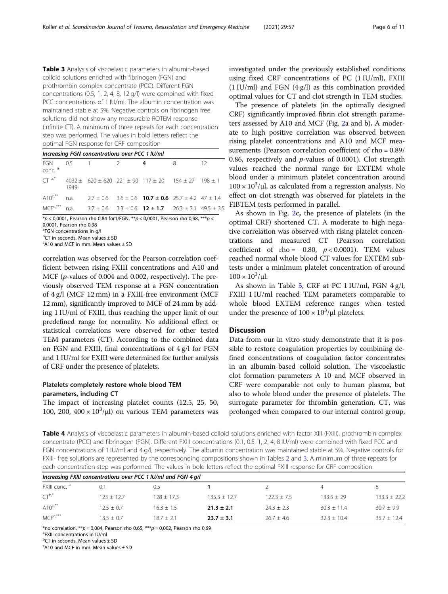<span id="page-5-0"></span>Table 3 Analysis of viscoelastic parameters in albumin-based colloid solutions enriched with fibrinogen (FGN) and prothrombin complex concentrate (PCC). Different FGN concentrations (0.5, 1, 2, 4, 8, 12 g/l) were combined with fixed PCC concentrations of 1 IU/ml. The albumin concentration was maintained stable at 5%. Negative controls on fibrinogen free solutions did not show any measurable ROTEM response (infinite CT). A minimum of three repeats for each concentration step was performed. The values in bold letters reflect the optimal FGN response for CRF composition

Increasing FGN concentrations over PCC 1 IU/ml FGN conc. <sup>a</sup> 0,5 1 2 **4** 8 12  $CT^{-b,*}$  4032 ± 620 ± 620 221 ± 90 117 ± 20 154 ± 27 198 ± 1 1949 A10<sup>c,\*\*</sup> n.a.  $2.7 \pm 0.6$   $3.6 \pm 0.6$  **10.7 ± 0.6**  $25.7 \pm 4.2$  47 ± 1.4 MCF<sup>c,\*\*\*</sup> n.a.  $3.7 \pm 0.6$   $3.3 \pm 0.6$  **12 ± 1.7**  $26.3 \pm 3.1$  49.5 ± 3.5

 $*p$  < 0,0001, Pearson rho 0,84 for 1/FGN,  $**p$  < 0,0001, Pearson rho 0,98,  $***p$  <

<sup>a</sup>FGN concentrations in g/l

b CT in seconds. Mean values ± SD

 $c$ A10 and MCF in mm. Mean values  $\pm$  SD

correlation was observed for the Pearson correlation coefficient between rising FXIII concentrations and A10 and MCF (*p*-values of 0.004 and 0.002, respectively). The previously observed TEM response at a FGN concentration of 4 g/l (MCF 12 mm) in a FXIII-free environment (MCF 12 mm), significantly improved to MCF of 24 mm by adding 1 IU/ml of FXIII, thus reaching the upper limit of our predefined range for normality. No additional effect or statistical correlations were observed for other tested TEM parameters (CT). According to the combined data on FGN and FXIII, final concentrations of 4 g/l for FGN and 1 IU/ml for FXIII were determined for further analysis of CRF under the presence of platelets.

## Platelets completely restore whole blood TEM parameters, including CT

The impact of increasing platelet counts (12.5, 25, 50, 100, 200,  $400 \times 10^3/\mu$ ) on various TEM parameters was

investigated under the previously established conditions using fixed CRF concentrations of PC (1 IU/ml), FXIII  $(1$  IU/ml) and FGN  $(4$  g/l) as this combination provided optimal values for CT and clot strength in TEM studies.

The presence of platelets (in the optimally designed CRF) significantly improved fibrin clot strength parameters assessed by A10 and MCF (Fig. [2](#page-6-0)a and b). A moderate to high positive correlation was observed between rising platelet concentrations and A10 and MCF measurements (Pearson correlation coefficient of rho = 0.89/ 0.86, respectively and  $p$ -values of 0.0001). Clot strength values reached the normal range for EXTEM whole blood under a minimum platelet concentration around  $100 \times 10^3$ /μl, as calculated from a regression analysis. No effect on clot strength was observed for platelets in the FIBTEM tests performed in parallel.

As shown in Fig. [2](#page-6-0)c, the presence of platelets (in the optimal CRF) shortened CT. A moderate to high negative correlation was observed with rising platelet concentrations and measured CT (Pearson correlation coefficient of rho =  $-0.80$ ,  $p < 0.0001$ ). TEM values reached normal whole blood CT values for EXTEM subtests under a minimum platelet concentration of around  $100 \times 10^3$ /μl.

As shown in Table [5,](#page-6-0) CRF at PC 1 IU/ml, FGN 4 g/l, FXIII 1 IU/ml reached TEM parameters comparable to whole blood EXTEM reference ranges when tested under the presence of  $100 \times 10^3/\mu$ l platelets.

## **Discussion**

Data from our in vitro study demonstrate that it is possible to restore coagulation properties by combining defined concentrations of coagulation factor concentrates in an albumin-based colloid solution. The viscoelastic clot formation parameters A 10 and MCF observed in CRF were comparable not only to human plasma, but also to whole blood under the presence of platelets. The surrogate parameter for thrombin generation, CT, was prolonged when compared to our internal control group,

Table 4 Analysis of viscoelastic parameters in albumin-based colloid solutions enriched with factor XIII (FXIII), prothrombin complex concentrate (PCC) and fibrinogen (FGN). Different FXIII concentrations (0.1, 0.5, 1, 2, 4, 8 IU/ml) were combined with fixed PCC and FGN concentrations of 1 IU/ml and 4 g/l, respectively. The albumin concentration was maintained stable at 5%. Negative controls for FXIII- free solutions are represented by the corresponding compositions shown in Tables [2](#page-4-0) and 3. A minimum of three repeats for each concentration step was performed. The values in bold letters reflect the optimal FXIII response for CRF composition

| Increasing FXIII concentrations over PCC 1 IU/ml and FGN 4 g/l |              |              |                  |                 |               |                  |
|----------------------------------------------------------------|--------------|--------------|------------------|-----------------|---------------|------------------|
| FXIII conc. <sup>a</sup>                                       | 0.1          | 0.5          |                  |                 | 4             |                  |
| $CT^{b,*}$                                                     | $123 + 12.7$ | $128 + 17.3$ | $135.3 \pm 12.7$ | $122.3 \pm 7.5$ | $133.5 + 29$  | $133.3 \pm 22.2$ |
| $A10^{c,*}$                                                    | $12.5 + 0.7$ | $16.3 + 1.5$ | $21.3 \pm 2.1$   | $74.3 + 7.3$    | $30.3 + 11.4$ | $30.7 + 9.9$     |
| $MCF^{c,***}$                                                  | $13.5 + 0.7$ | $187 + 21$   | $23.7 \pm 3.1$   | $26.7 + 4.6$    | $32.3 + 10.4$ | $35.7 + 12.4$    |

\*no correlation,  $**p = 0,004$ , Pearson rho 0,65,  $***p = 0,002$ , Pearson rho 0,69

FXIII concentrations in IU/ml

<sup>b</sup>CT in seconds. Mean values ± SD

 $c$ A10 and MCF in mm. Mean values  $\pm$  SD

<sup>0,0001,</sup> Pearson rho 0,98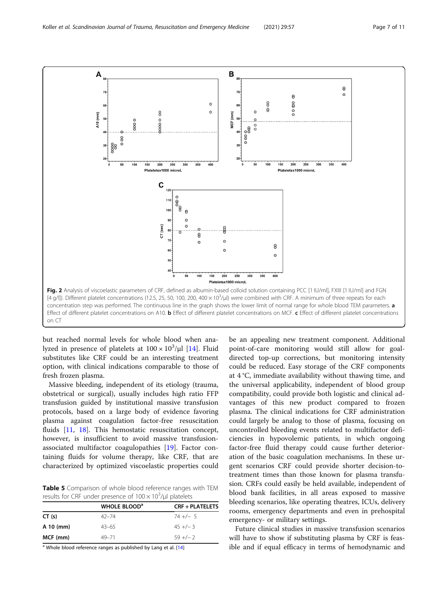<span id="page-6-0"></span>

but reached normal levels for whole blood when analyzed in presence of platelets at  $100 \times 10^3/\mu$ l [[14\]](#page-9-0). Fluid substitutes like CRF could be an interesting treatment option, with clinical indications comparable to those of fresh frozen plasma.

Massive bleeding, independent of its etiology (trauma, obstetrical or surgical), usually includes high ratio FFP transfusion guided by institutional massive transfusion protocols, based on a large body of evidence favoring plasma against coagulation factor-free resuscitation fluids [[11](#page-9-0), [18\]](#page-9-0). This hemostatic resuscitation concept, however, is insufficient to avoid massive transfusionassociated multifactor coagulopathies [\[19](#page-9-0)]. Factor containing fluids for volume therapy, like CRF, that are characterized by optimized viscoelastic properties could

Table 5 Comparison of whole blood reference ranges with TEM results for CRF under presence of  $100 \times 10^3 / \mu$ l platelets

|           | <b>WHOLE BLOOD</b> <sup>a</sup> | <b>CRF + PLATELETS</b> |
|-----------|---------------------------------|------------------------|
| CT(s)     | $42 - 74$                       | $74 +/- 5$             |
| A 10 (mm) | $43 - 65$                       | $45 +/-3$              |
| MCF (mm)  | $49 - 71$                       | $59 + / - 2$           |

<sup>a</sup> Whole blood reference ranges as published by Lang et al. [\[14](#page-9-0)]

be an appealing new treatment component. Additional point-of-care monitoring would still allow for goaldirected top-up corrections, but monitoring intensity could be reduced. Easy storage of the CRF components at 4 °C, immediate availability without thawing time, and the universal applicability, independent of blood group compatibility, could provide both logistic and clinical advantages of this new product compared to frozen plasma. The clinical indications for CRF administration could largely be analog to those of plasma, focusing on uncontrolled bleeding events related to multifactor deficiencies in hypovolemic patients, in which ongoing factor-free fluid therapy could cause further deterioration of the basic coagulation mechanisms. In these urgent scenarios CRF could provide shorter decision-totreatment times than those known for plasma transfusion. CRFs could easily be held available, independent of blood bank facilities, in all areas exposed to massive bleeding scenarios, like operating theatres, ICUs, delivery rooms, emergency departments and even in prehospital emergency- or military settings.

Future clinical studies in massive transfusion scenarios will have to show if substituting plasma by CRF is feasible and if equal efficacy in terms of hemodynamic and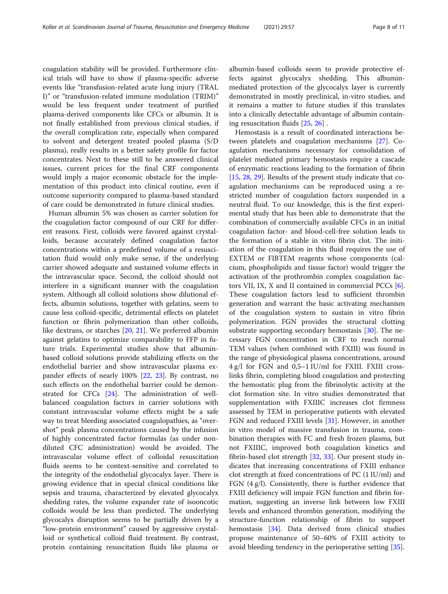coagulation stability will be provided. Furthermore clinical trials will have to show if plasma-specific adverse events like "transfusion-related acute lung injury (TRAL I)" or "transfusion-related immune modulation (TRIM)" would be less frequent under treatment of purified plasma-derived components like CFCs or albumin. It is not finally established from previous clinical studies, if the overall complication rate, especially when compared to solvent and detergent treated pooled plasma (S/D plasma), really results in a better safety profile for factor concentrates. Next to these still to be answered clinical issues, current prices for the final CRF components would imply a major economic obstacle for the implementation of this product into clinical routine, even if outcome superiority compared to plasma-based standard of care could be demonstrated in future clinical studies.

Human albumin 5% was chosen as carrier solution for the coagulation factor compound of our CRF for different reasons. First, colloids were favored against crystalloids, because accurately defined coagulation factor concentrations within a predefined volume of a resuscitation fluid would only make sense, if the underlying carrier showed adequate and sustained volume effects in the intravascular space. Second, the colloid should not interfere in a significant manner with the coagulation system. Although all colloid solutions show dilutional effects, albumin solutions, together with gelatins, seem to cause less colloid-specific, detrimental effects on platelet function or fibrin polymerization than other colloids, like dextrans, or starches [[20](#page-9-0), [21](#page-9-0)]. We preferred albumin against gelatins to optimize comparability to FFP in future trials. Experimental studies show that albuminbased colloid solutions provide stabilizing effects on the endothelial barrier and show intravascular plasma expander effects of nearly 100% [\[22,](#page-9-0) [23](#page-9-0)]. By contrast, no such effects on the endothelial barrier could be demonstrated for CFCs [[24\]](#page-10-0). The administration of wellbalanced coagulation factors in carrier solutions with constant intravascular volume effects might be a safe way to treat bleeding associated coagulopathies, as "overshot" peak plasma concentrations caused by the infusion of highly concentrated factor formulas (as under nondiluted CFC administration) would be avoided. The intravascular volume effect of colloidal resuscitation fluids seems to be context-sensitive and correlated to the integrity of the endothelial glycocalyx layer. There is growing evidence that in special clinical conditions like sepsis and trauma, characterized by elevated glycocalyx shedding rates, the volume expander rate of isooncotic colloids would be less than predicted. The underlying glycocalyx disruption seems to be partially driven by a "low-protein environment" caused by aggressive crystalloid or synthetical colloid fluid treatment. By contrast, protein containing resuscitation fluids like plasma or albumin-based colloids seem to provide protective effects against glycocalyx shedding. This albuminmediated protection of the glycocalyx layer is currently demonstrated in mostly preclinical, in-vitro studies, and it remains a matter to future studies if this translates into a clinically detectable advantage of albumin containing resuscitation fluids [\[25](#page-10-0), [26](#page-10-0)] .

Hemostasis is a result of coordinated interactions between platelets and coagulation mechanisms [\[27\]](#page-10-0). Coagulation mechanisms necessary for consolidation of platelet mediated primary hemostasis require a cascade of enzymatic reactions leading to the formation of fibrin [[15,](#page-9-0) [28,](#page-10-0) [29](#page-10-0)]. Results of the present study indicate that coagulation mechanisms can be reproduced using a restricted number of coagulation factors suspended in a neutral fluid. To our knowledge, this is the first experimental study that has been able to demonstrate that the combination of commercially available CFCs in an initial coagulation factor- and blood-cell-free solution leads to the formation of a stable in vitro fibrin clot. The initiation of the coagulation in this fluid requires the use of EXTEM or FIBTEM reagents whose components (calcium, phospholipids and tissue factor) would trigger the activation of the prothrombin complex coagulation factors VII, IX, X and II contained in commercial PCCs [\[6](#page-9-0)]. These coagulation factors lead to sufficient thrombin generation and warrant the basic activating mechanism of the coagulation system to sustain in vitro fibrin polymerization. FGN provides the structural clotting substrate supporting secondary hemostasis [\[30](#page-10-0)]. The necessary FGN concentration in CRF to reach normal TEM values (when combined with FXIII) was found in the range of physiological plasma concentrations, around 4 g/l for FGN and 0,5–1 IU/ml for FXIII. FXIII crosslinks fibrin, completing blood coagulation and protecting the hemostatic plug from the fibrinolytic activity at the clot formation site. In vitro studies demonstrated that supplementation with FXIIIC increases clot firmness assessed by TEM in perioperative patients with elevated FGN and reduced FXIII levels [[31](#page-10-0)]. However, in another in vitro model of massive transfusion in trauma, combination therapies with FC and fresh frozen plasma, but not FXIIIC, improved both coagulation kinetics and fibrin-based clot strength [\[32,](#page-10-0) [33](#page-10-0)]. Our present study indicates that increasing concentrations of FXIII enhance clot strength at fixed concentrations of PC (1 IU/ml) and FGN (4 g/l). Consistently, there is further evidence that FXIII deficiency will impair FGN function and fibrin formation, suggesting an inverse link between low FXIII levels and enhanced thrombin generation, modifying the structure-function relationship of fibrin to support hemostasis [[34\]](#page-10-0). Data derived from clinical studies propose maintenance of 50–60% of FXIII activity to avoid bleeding tendency in the perioperative setting [[35\]](#page-10-0).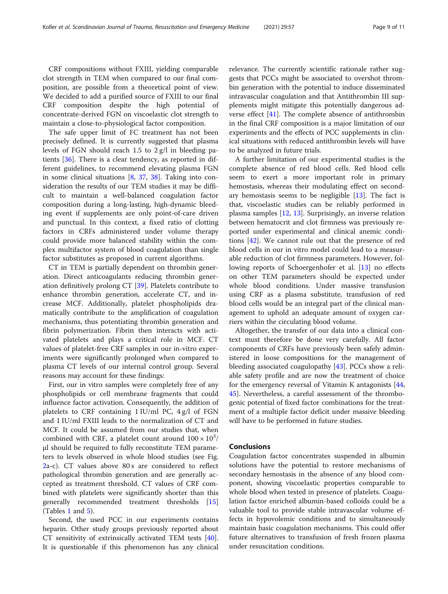CRF compositions without FXIII, yielding comparable clot strength in TEM when compared to our final composition, are possible from a theoretical point of view. We decided to add a purified source of FXIII to our final CRF composition despite the high potential of concentrate-derived FGN on viscoelastic clot strength to maintain a close-to-physiological factor composition.

The safe upper limit of FC treatment has not been precisely defined. It is currently suggested that plasma levels of FGN should reach 1.5 to 2 g/l in bleeding patients [[36\]](#page-10-0). There is a clear tendency, as reported in different guidelines, to recommend elevating plasma FGN in some clinical situations [\[8](#page-9-0), [37](#page-10-0), [38](#page-10-0)]. Taking into consideration the results of our TEM studies it may be difficult to maintain a well-balanced coagulation factor composition during a long-lasting, high-dynamic bleeding event if supplements are only point-of-care driven and punctual. In this context, a fixed ratio of clotting factors in CRFs administered under volume therapy could provide more balanced stability within the complex multifactor system of blood coagulation than single factor substitutes as proposed in current algorithms.

CT in TEM is partially dependent on thrombin generation. Direct anticoagulants reducing thrombin generation definitively prolong CT [[39\]](#page-10-0). Platelets contribute to enhance thrombin generation, accelerate CT, and increase MCF. Additionally, platelet phospholipids dramatically contribute to the amplification of coagulation mechanisms, thus potentiating thrombin generation and fibrin polymerization. Fibrin then interacts with activated platelets and plays a critical role in MCF. CT values of platelet-free CRF samples in our in-vitro experiments were significantly prolonged when compared to plasma CT levels of our internal control group. Several reasons may account for these findings:

First, our in vitro samples were completely free of any phospholipids or cell membrane fragments that could influence factor activation. Consequently, the addition of platelets to CRF containing 1 IU/ml PC, 4 g/l of FGN and 1 IU/ml FXIII leads to the normalization of CT and MCF. It could be assumed from our studies that, when combined with CRF, a platelet count around  $100 \times 10^3/$ μl should be required to fully reconstitute TEM parameters to levels observed in whole blood studies (see Fig. [2a](#page-6-0)-c). CT values above 80 s are considered to reflect pathological thrombin generation and are generally accepted as treatment threshold. CT values of CRF combined with platelets were significantly shorter than this generally recommended treatment thresholds [[15](#page-9-0)] (Tables [1](#page-3-0) and [5](#page-6-0)).

Second, the used PCC in our experiments contains heparin. Other study groups previously reported about CT sensitivity of extrinsically activated TEM tests [\[40](#page-10-0)]. It is questionable if this phenomenon has any clinical

relevance. The currently scientific rationale rather suggests that PCCs might be associated to overshot thrombin generation with the potential to induce disseminated intravascular coagulation and that Antithrombin III supplements might mitigate this potentially dangerous adverse effect [[41\]](#page-10-0). The complete absence of antithrombin in the final CRF composition is a major limitation of our experiments and the effects of PCC supplements in clinical situations with reduced antithrombin levels will have to be analyzed in future trials.

A further limitation of our experimental studies is the complete absence of red blood cells. Red blood cells seem to exert a more important role in primary hemostasis, whereas their modulating effect on secondary hemostasis seems to be negligible  $[13]$  $[13]$ . The fact is that, viscoelastic studies can be reliably performed in plasma samples [[12,](#page-9-0) [13\]](#page-9-0). Surprisingly, an inverse relation between hematocrit and clot firmness was previously reported under experimental and clinical anemic conditions [[42\]](#page-10-0). We cannot rule out that the presence of red blood cells in our in vitro model could lead to a measurable reduction of clot firmness parameters. However, following reports of Schoergenhofer et al. [[13\]](#page-9-0) no effects on other TEM parameters should be expected under whole blood conditions. Under massive transfusion using CRF as a plasma substitute, transfusion of red blood cells would be an integral part of the clinical management to uphold an adequate amount of oxygen carriers within the circulating blood volume.

Altogether, the transfer of our data into a clinical context must therefore be done very carefully. All factor components of CRFs have previously been safely administered in loose compositions for the management of bleeding associated coagulopathy  $[43]$  $[43]$  $[43]$ . PCCs show a reliable safety profile and are now the treatment of choice for the emergency reversal of Vitamin K antagonists [[44](#page-10-0), [45\]](#page-10-0). Nevertheless, a careful assessment of the thrombogenic potential of fixed factor combinations for the treatment of a multiple factor deficit under massive bleeding will have to be performed in future studies.

## Conclusions

Coagulation factor concentrates suspended in albumin solutions have the potential to restore mechanisms of secondary hemostasis in the absence of any blood component, showing viscoelastic properties comparable to whole blood when tested in presence of platelets. Coagulation factor enriched albumin-based colloids could be a valuable tool to provide stable intravascular volume effects in hypovolemic conditions and to simultaneously maintain basic coagulation mechanisms. This could offer future alternatives to transfusion of fresh frozen plasma under resuscitation conditions.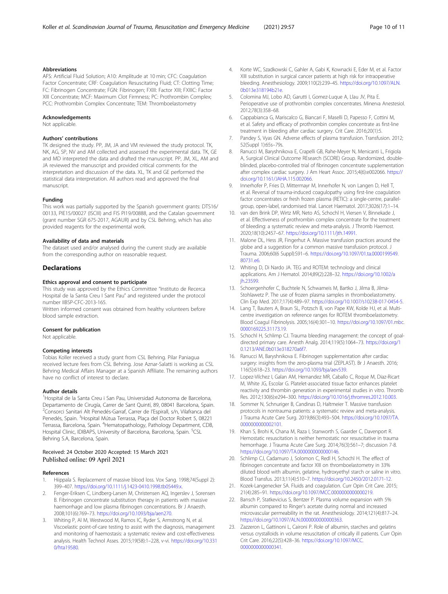## <span id="page-9-0"></span>Abbreviations

AFS: Artificial Fluid Solution; A10: Amplitude at 10 min; CFC: Coagulation Factor Concentrate; CRF: Coagulation Resuscitating Fluid; CT: Clotting Time; FC: Fibrinogen Concentrate; FGN: Fibrinogen; FXIII: Factor XIII; FXIIIC: Factor XIII Concentrate; MCF: Maximum Clot Firmness; PC: Prothrombin Complex; PCC: Prothrombin Complex Concentrate; TEM: Thromboelastometry

## Acknowledgements

Not applicable.

## Authors' contributions

TK designed the study. PP, JM, JA and VM reviewed the study protocol. TK, NK, AG, SP, NV and AM collected and assessed the experimental data. TK, GE and MD interpreted the data and drafted the manuscript. PP, JM, XL, AM and JA reviewed the manuscript and provided critical comments for the interpretation and discussion of the data. XL, TK and GE performed the statistical data interpretation. All authors read and approved the final manuscript.

#### Funding

This work was partially supported by the Spanish government grants: DTS16/ 00133, PIE15/00027 (ISCIII) and FIS PI19/00888, and the Catalan government (grant number SGR 675-2017, AGAUR) and by CSL Behring, which has also provided reagents for the experimental work.

#### Availability of data and materials

The dataset used and/or analysed during the current study are available from the corresponding author on reasonable request.

#### **Declarations**

#### Ethics approval and consent to participate

This study was approved by the Ethics Committee "Instituto de Recerca Hospital de la Santa Creu I Sant Pau" and registered under the protocol number IIBSP-CFC-2013-165.

Written informed consent was obtained from healthy volunteers before blood sample extraction.

#### Consent for publication

Not applicable.

#### Competing interests

Tobias Koller received a study grant from CSL Behring. Pilar Paniagua received lecture fees from CSL Behring. Jose Aznar-Salatti is working as CSL Behring Medical Affairs Manager at a Spanish Affiliate. The remaining authors have no conflict of interest to declare.

#### Author details

<sup>1</sup>Hospital de la Santa Creu i San Pau, Universidad Autonoma de Barcelona, Departamento de Cirugía, Carrer de Sant Quintí, 89, 08041 Barcelona, Spain. <sup>2</sup> Consorci Sanitari Alt Penedés-Garraf, Carrer de l'Espirall, s/n, Vilafranca del Penedés, Spain. <sup>3</sup>Hospital Mútua Terrassa, Plaça del Doctor Robert 5, 08221 Terrassa, Barcelona, Spain. <sup>4</sup>Hematopathology, Pathology Department, CDB, Hospital Clinic, IDIBAPS, University of Barcelona, Barcelona, Spain. <sup>5</sup>CSL Behring S.A, Barcelona, Spain.

## Received: 24 October 2020 Accepted: 15 March 2021 Published online: 09 April 2021

#### References

- 1. Hiippala S. Replacement of massive blood loss. Vox Sang. 1998;74(Suppl 2): 399–407. [https://doi.org/10.1111/j.1423-0410.1998.tb05449.x.](https://doi.org/10.1111/j.1423-0410.1998.tb05449.x)
- 2. Fenger-Eriksen C, Lindberg-Larsen M, Christensen AQ, Ingerslev J, Sorensen B. Fibrinogen concentrate substitution therapy in patients with massive haemorrhage and low plasma fibrinogen concentrations. Br J Anaesth. 2008;101(6):769–73. [https://doi.org/10.1093/bja/aen270.](https://doi.org/10.1093/bja/aen270)
- Whiting P, Al M, Westwood M, Ramos IC, Ryder S, Armstrong N, et al. Viscoelastic point-of-care testing to assist with the diagnosis, management and monitoring of haemostasis: a systematic review and cost-effectiveness analysis. Health Technol Asses. 2015;19(58):1–228, v-vi. [https://doi.org/10.331](https://doi.org/10.3310/hta19580) [0/hta19580.](https://doi.org/10.3310/hta19580)
- 4. Korte WC, Szadkowski C, Gahler A, Gabi K, Kownacki E, Eder M, et al. Factor XIII substitution in surgical cancer patients at high risk for intraoperative bleeding. Anesthesiology. 2009;110(2):239–45. [https://doi.org/10.1097/ALN.](https://doi.org/10.1097/ALN.0b013e318194b21e) [0b013e318194b21e](https://doi.org/10.1097/ALN.0b013e318194b21e).
- 5. Colomina MJ, Lobo AD, Garutti I, Gomez-Luque A, Llau JV, Pita E. Perioperative use of prothrombin complex concentrates. Minerva Anestesiol. 2012;78(3):358–68.
- 6. Cappabianca G, Mariscalco G, Biancari F, Maselli D, Papesso F, Cottini M, et al. Safety and efficacy of prothrombin complex concentrate as first-line treatment in bleeding after cardiac surgery. Crit Care. 2016;20(1):5.
- 7. Pandey S, Vyas GN. Adverse effects of plasma transfusion. Transfusion. 2012; 52(Suppl 1):65s–79s.
- 8. Ranucci M, Baryshnikova E, Crapelli GB, Rahe-Meyer N, Menicanti L, Frigiola A, Surgical Clinical Outcome REsearch (SCORE) Group. Randomized, doubleblinded, placebo-controlled trial of fibrinogen concentrate supplementation after complex cardiac surgery. J Am Heart Assoc. 2015;4(6):e002066. [https://](https://doi.org/10.1161/JAHA.115.002066) [doi.org/10.1161/JAHA.115.002066.](https://doi.org/10.1161/JAHA.115.002066)
- 9. Innerhofer P, Fries D, Mittermayr M, Innerhofer N, von Langen D, Hell T, et al. Reversal of trauma-induced coagulopathy using first-line coagulation factor concentrates or fresh frozen plasma (RETIC): a single-centre, parallelgroup, open-label, randomised trial. Lancet Haematol. 2017;3026(17):1–14.
- 10. van den Brink DP, Wirtz MR, Neto AS, Schochl H, Viersen V, Binnekade J, et al. Effectiveness of prothrombin complex concentrate for the treatment of bleeding: a systematic review and meta-analysis. J Thromb Haemost. 2020;18(10):2457–67. <https://doi.org/10.1111/jth.14991>.
- 11. Malone DL, Hess JR, Fingerhut A. Massive transfusion practices around the globe and a suggestion for a common massive transfusion protocol. J Trauma. 2006;60(6 Suppl):S91–6. [https://doi.org/10.1097/01.ta.0000199549.](https://doi.org/10.1097/01.ta.0000199549.80731.e6) [80731.e6.](https://doi.org/10.1097/01.ta.0000199549.80731.e6)
- 12. Whiting D, Di Nardo JA. TEG and ROTEM: technology and clinical applications. Am J Hematol. 2014;89(2):228–32. [https://doi.org/10.1002/a](https://doi.org/10.1002/ajh.23599) ih.23599.
- 13. Schoergenhofer C, Buchtele N, Schwameis M, Bartko J, Jilma B, Jilma-Stohlawetz P. The use of frozen plasma samples in thromboelastometry. Clin Exp Med. 2017;17(4):489–97. <https://doi.org/10.1007/s10238-017-0454-5>.
- 14. Lang T, Bauters A, Braun SL, Potzsch B, von Pape KW, Kolde HJ, et al. Multicentre investigation on reference ranges for ROTEM thromboelastometry. Blood Coagul Fibrinolysis. 2005;16(4):301–10. [https://doi.org/10.1097/01.mbc.](https://doi.org/10.1097/01.mbc.0000169225.31173.19) [0000169225.31173.19](https://doi.org/10.1097/01.mbc.0000169225.31173.19).
- 15. Schochl H, Schlimp CJ. Trauma bleeding management: the concept of goaldirected primary care. Anesth Analg. 2014;119(5):1064–73. [https://doi.org/1](https://doi.org/10.1213/ANE.0b013e318270a6f7) [0.1213/ANE.0b013e318270a6f7.](https://doi.org/10.1213/ANE.0b013e318270a6f7)
- 16. Ranucci M, Baryshnikova E. Fibrinogen supplementation after cardiac surgery: insights from the zero-plasma trial (ZEPLAST). Br J Anaesth. 2016; 116(5):618–23. <https://doi.org/10.1093/bja/aev539>.
- 17. Lopez-Vilchez I, Galan AM, Hernandez MR, Caballo C, Roque M, Diaz-Ricart M, White JG, Escolar G. Platelet-associated tissue factor enhances platelet reactivity and thrombin generation in experimental studies in vitro. Thromb Res. 2012;130(6):e294–300. [https://doi.org/10.1016/j.thromres.2012.10.003.](https://doi.org/10.1016/j.thromres.2012.10.003)
- 18. Sommer N, Schnuriger B, Candinas D, Haltmeier T. Massive transfusion protocols in nontrauma patients: a systematic review and meta-analysis. J Trauma Acute Care Surg. 2019;86(3):493–504. [https://doi.org/10.1097/TA.](https://doi.org/10.1097/TA.0000000000002101) [0000000000002101](https://doi.org/10.1097/TA.0000000000002101).
- 19. Khan S, Brohi K, Chana M, Raza I, Stanworth S, Gaarder C, Davenport R. Hemostatic resuscitation is neither hemostatic nor resuscitative in trauma hemorrhage. J Trauma Acute Care Surg. 2014;76(3):561–7; discussion 7-8. <https://doi.org/10.1097/TA.0000000000000146>.
- 20. Schlimp CJ, Cadamuro J, Solomon C, Redl H, Schochl H. The effect of fibrinogen concentrate and factor XIII on thromboelastometry in 33% diluted blood with albumin, gelatine, hydroxyethyl starch or saline in vitro. Blood Transfus. 2013;11(4):510–7. [https://doi.org/10.2450/2012.0171-12.](https://doi.org/10.2450/2012.0171-12)
- 21. Kozek-Langenecker SA. Fluids and coagulation. Curr Opin Crit Care. 2015; 21(4):285–91. <https://doi.org/10.1097/MCC.0000000000000219>.
- 22. Bansch P, Statkevicius S, Bentzer P. Plasma volume expansion with 5% albumin compared to Ringer's acetate during normal and increased microvascular permeability in the rat. Anesthesiology. 2014;121(4):817–24. [https://doi.org/10.1097/ALN.0000000000000363.](https://doi.org/10.1097/ALN.0000000000000363)
- 23. Zazzeron L, Gattinoni L, Caironi P. Role of albumin, starches and gelatins versus crystalloids in volume resuscitation of critically ill patients. Curr Opin Crit Care. 2016;22(5):428–36. [https://doi.org/10.1097/MCC.](https://doi.org/10.1097/MCC.0000000000000341) [0000000000000341](https://doi.org/10.1097/MCC.0000000000000341).